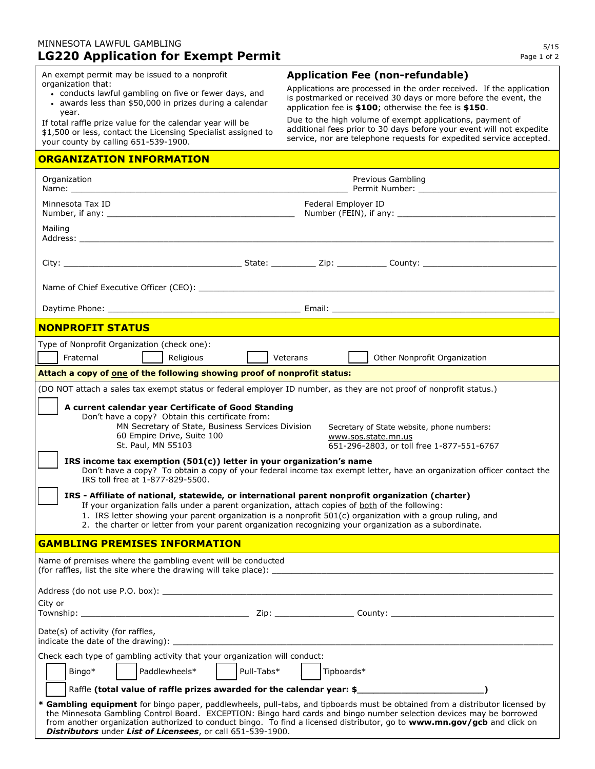## MINNESOTA LAWFUL GAMBLING **LG220 Application for Exempt Permit**

An exempt permit may be issued to a nonprofit organization that:

- conducts lawful gambling on five or fewer days, and
- awards less than \$50,000 in prizes during a calendar year.

If total raffle prize value for the calendar year will be \$1,500 or less, contact the Licensing Specialist assigned to your county by calling 651-539-1900.

## **ORGANIZATION INFORMATION**

## **Application Fee (non-refundable)**

Applications are processed in the order received. If the application is postmarked or received 30 days or more before the event, the application fee is **\$100**; otherwise the fee is **\$150**.

Due to the high volume of exempt applications, payment of additional fees prior to 30 days before your event will not expedite service, nor are telephone requests for expedited service accepted.

| Organization<br>Name: when the contract of the contract of the contract of the contract of the contract of the contract of the contract of the contract of the contract of the contract of the contract of the contract of the contract of the                                                                                                                                                                                                                                                                                                                                                                                                                                                                                                                                                                                                                                                                                                                                                               |            |                     | Previous Gambling<br>Permit Number: The contract of the contract of the contract of the contract of the contract of the contract of the contract of the contract of the contract of the contract of the contract of the contract of the contract of                                                                                                                              |  |
|--------------------------------------------------------------------------------------------------------------------------------------------------------------------------------------------------------------------------------------------------------------------------------------------------------------------------------------------------------------------------------------------------------------------------------------------------------------------------------------------------------------------------------------------------------------------------------------------------------------------------------------------------------------------------------------------------------------------------------------------------------------------------------------------------------------------------------------------------------------------------------------------------------------------------------------------------------------------------------------------------------------|------------|---------------------|----------------------------------------------------------------------------------------------------------------------------------------------------------------------------------------------------------------------------------------------------------------------------------------------------------------------------------------------------------------------------------|--|
| Minnesota Tax ID<br>Number, if any:                                                                                                                                                                                                                                                                                                                                                                                                                                                                                                                                                                                                                                                                                                                                                                                                                                                                                                                                                                          |            | Federal Employer ID | Number (FEIN), if any:                                                                                                                                                                                                                                                                                                                                                           |  |
| Mailing<br>Address: the contract of the contract of the contract of the contract of the contract of the contract of the contract of the contract of the contract of the contract of the contract of the contract of the contract of the c                                                                                                                                                                                                                                                                                                                                                                                                                                                                                                                                                                                                                                                                                                                                                                    |            |                     |                                                                                                                                                                                                                                                                                                                                                                                  |  |
|                                                                                                                                                                                                                                                                                                                                                                                                                                                                                                                                                                                                                                                                                                                                                                                                                                                                                                                                                                                                              |            |                     |                                                                                                                                                                                                                                                                                                                                                                                  |  |
|                                                                                                                                                                                                                                                                                                                                                                                                                                                                                                                                                                                                                                                                                                                                                                                                                                                                                                                                                                                                              |            |                     |                                                                                                                                                                                                                                                                                                                                                                                  |  |
|                                                                                                                                                                                                                                                                                                                                                                                                                                                                                                                                                                                                                                                                                                                                                                                                                                                                                                                                                                                                              |            |                     |                                                                                                                                                                                                                                                                                                                                                                                  |  |
| <b>NONPROFIT STATUS</b>                                                                                                                                                                                                                                                                                                                                                                                                                                                                                                                                                                                                                                                                                                                                                                                                                                                                                                                                                                                      |            |                     |                                                                                                                                                                                                                                                                                                                                                                                  |  |
| Type of Nonprofit Organization (check one):<br>Fraternal<br>Religious                                                                                                                                                                                                                                                                                                                                                                                                                                                                                                                                                                                                                                                                                                                                                                                                                                                                                                                                        |            | Veterans            | Other Nonprofit Organization                                                                                                                                                                                                                                                                                                                                                     |  |
| Attach a copy of one of the following showing proof of nonprofit status:                                                                                                                                                                                                                                                                                                                                                                                                                                                                                                                                                                                                                                                                                                                                                                                                                                                                                                                                     |            |                     |                                                                                                                                                                                                                                                                                                                                                                                  |  |
| (DO NOT attach a sales tax exempt status or federal employer ID number, as they are not proof of nonprofit status.)                                                                                                                                                                                                                                                                                                                                                                                                                                                                                                                                                                                                                                                                                                                                                                                                                                                                                          |            |                     |                                                                                                                                                                                                                                                                                                                                                                                  |  |
| A current calendar year Certificate of Good Standing<br>Don't have a copy? Obtain this certificate from:<br>MN Secretary of State, Business Services Division<br>Secretary of State website, phone numbers:<br>60 Empire Drive, Suite 100<br>www.sos.state.mn.us<br>St. Paul, MN 55103<br>651-296-2803, or toll free 1-877-551-6767<br>IRS income tax exemption $(501(c))$ letter in your organization's name<br>Don't have a copy? To obtain a copy of your federal income tax exempt letter, have an organization officer contact the<br>IRS toll free at 1-877-829-5500.<br>IRS - Affiliate of national, statewide, or international parent nonprofit organization (charter)<br>If your organization falls under a parent organization, attach copies of both of the following:<br>1. IRS letter showing your parent organization is a nonprofit $501(c)$ organization with a group ruling, and<br>2. the charter or letter from your parent organization recognizing your organization as a subordinate. |            |                     |                                                                                                                                                                                                                                                                                                                                                                                  |  |
| <b>GAMBLING PREMISES INFORMATION</b>                                                                                                                                                                                                                                                                                                                                                                                                                                                                                                                                                                                                                                                                                                                                                                                                                                                                                                                                                                         |            |                     |                                                                                                                                                                                                                                                                                                                                                                                  |  |
| Name of premises where the gambling event will be conducted<br>(for raffles, list the site where the drawing will take place): _                                                                                                                                                                                                                                                                                                                                                                                                                                                                                                                                                                                                                                                                                                                                                                                                                                                                             |            |                     |                                                                                                                                                                                                                                                                                                                                                                                  |  |
| Address (do not use P.O. box):                                                                                                                                                                                                                                                                                                                                                                                                                                                                                                                                                                                                                                                                                                                                                                                                                                                                                                                                                                               |            |                     |                                                                                                                                                                                                                                                                                                                                                                                  |  |
| City or                                                                                                                                                                                                                                                                                                                                                                                                                                                                                                                                                                                                                                                                                                                                                                                                                                                                                                                                                                                                      |            |                     |                                                                                                                                                                                                                                                                                                                                                                                  |  |
| Date(s) of activity (for raffles,<br>indicate the date of the drawing): ______                                                                                                                                                                                                                                                                                                                                                                                                                                                                                                                                                                                                                                                                                                                                                                                                                                                                                                                               |            |                     |                                                                                                                                                                                                                                                                                                                                                                                  |  |
| Check each type of gambling activity that your organization will conduct:                                                                                                                                                                                                                                                                                                                                                                                                                                                                                                                                                                                                                                                                                                                                                                                                                                                                                                                                    |            |                     |                                                                                                                                                                                                                                                                                                                                                                                  |  |
| Paddlewheels*<br>Bingo*                                                                                                                                                                                                                                                                                                                                                                                                                                                                                                                                                                                                                                                                                                                                                                                                                                                                                                                                                                                      | Pull-Tabs* | Tipboards*          |                                                                                                                                                                                                                                                                                                                                                                                  |  |
| Raffle (total value of raffle prizes awarded for the calendar year: \$                                                                                                                                                                                                                                                                                                                                                                                                                                                                                                                                                                                                                                                                                                                                                                                                                                                                                                                                       |            |                     |                                                                                                                                                                                                                                                                                                                                                                                  |  |
| Distributors under List of Licensees, or call 651-539-1900.                                                                                                                                                                                                                                                                                                                                                                                                                                                                                                                                                                                                                                                                                                                                                                                                                                                                                                                                                  |            |                     | * Gambling equipment for bingo paper, paddlewheels, pull-tabs, and tipboards must be obtained from a distributor licensed by<br>the Minnesota Gambling Control Board. EXCEPTION: Bingo hard cards and bingo number selection devices may be borrowed<br>from another organization authorized to conduct bingo. To find a licensed distributor, go to www.mn.gov/gcb and click on |  |